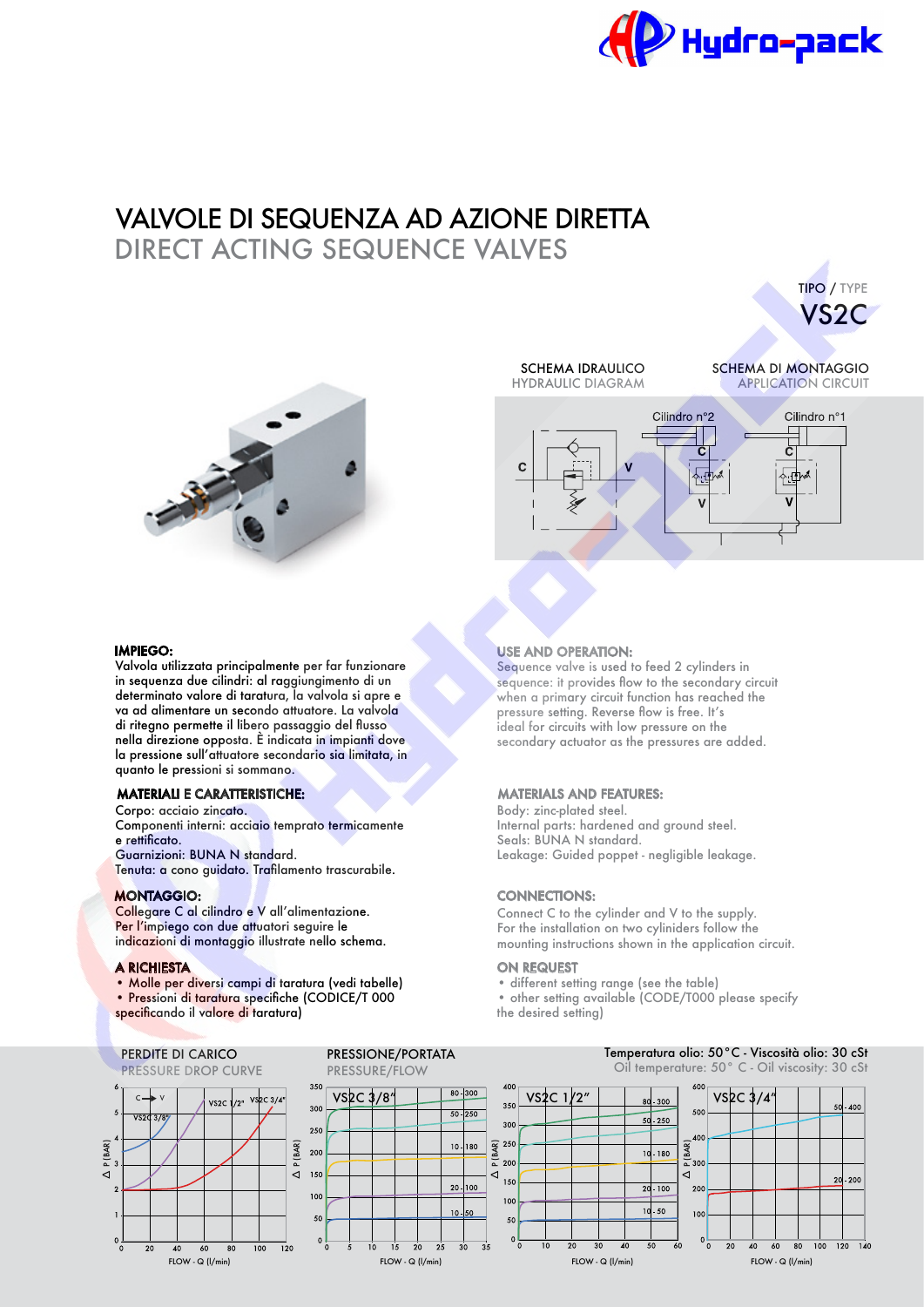

# VALVOLE DI SEQUENZA AD AZIONE DIRETTA DIRECT ACTING SEQUENCE VALVES



**HYDRAULIC DIAGRAM** 

SCHEMA IDRAULICO SCHEMA DI MONTAGGIO

TIPO / TYPE VS2C



#### IMPIEGO:

Valvola utilizzata principalmente per far funzionare in sequenza due cilindri: al raggiungimento di un determinato valore di taratura, la valvola si apre e va ad alimentare un secondo attuatore. La valvola di ritegno permette il libero passaggio del fusso nella direzione opposta. È indicata in impianti dove la pressione sull'attuatore secondario sia limitata, in quanto le pressioni si sommano.

### MATERIALI E CARATTERISTICHE:

Corpo: acciaio zincato. Componenti interni: acciaio temprato termicamente e rettifcato. Guarnizioni: BUNA N standard. Tenuta: a cono guidato. Traflamento trascurabile.

Collegare C al cilindro e V all'alimentazione. Per l'impiego con due attuatori seguire le indicazioni di montaggio illustrate nello schema.

#### A RICHIESTA

Δ

 $0\frac{1}{0}$ 

 $20$ 

P (BAR)

 $\overline{vs}$  $\overline{31}$ 

• Molle per diversi campi di taratura (vedi tabelle)

• Pressioni di taratura specifche (CODICE/T 000 specifcando il valore di taratura)

#### **PERDITE DI CARICO** PRESSIONE/PORTATA<br>PRESSURE DROP CURVE PRESSURE/FLOW PRESSURE DROP CURVE

# USE AND OPERATION:

Sequence valve is used to feed 2 cylinders in sequence: it provides flow to the secondary circuit when a primary circuit function has reached the pressure setting. Reverse flow is free. It's ideal for circuits with low pressure on the secondary actuator as the pressures are added.

### MATERIALS AND FEATURES:

Body: zinc-plated steel. Internal parts: hardened and ground steel. Seals: BUNA N standard. Leakage: Guided poppet - negligible leakage.

## MONTAGGIO: CONNECTIONS:

Connect C to the cylinder and V to the supply. For the installation on two cyliniders follow the mounting instructions shown in the application circuit.

#### ON REQUEST

• different setting range (see the table)

• other setting available (CODE/T000 please specify the desired setting)



Temperatura olio: 50°C - Viscosità olio: 30 cSt